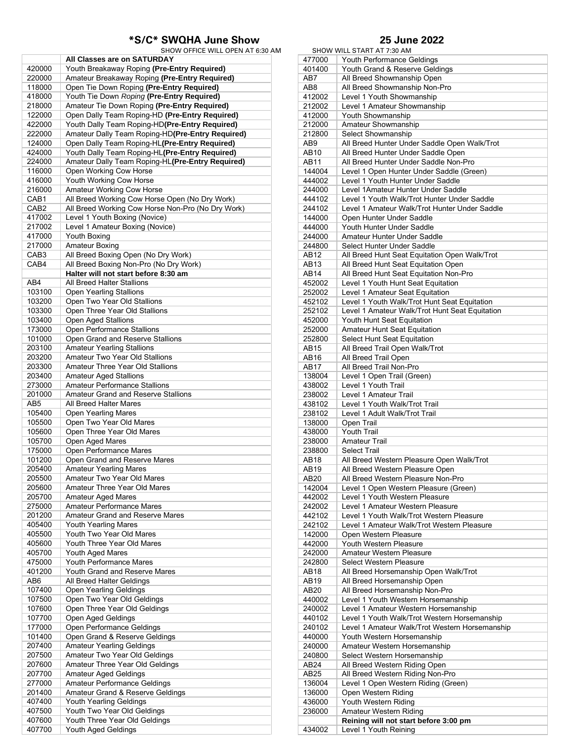| *S/C* SWQHA June Show |                                  |
|-----------------------|----------------------------------|
|                       | SHOW OFFICE WILL OPEN AT 6:30 AM |

**All Classes are on SATURDAY** 420000 Youth Breakaway Roping **(Pre-Entry Required)** 220000 Amateur Breakaway Roping **(Pre-Entry Required)** Open Tie Down Roping (Pre-Entry Required) 418000 Youth Tie Down *Roping* **(Pre-Entry Required)** 218000 Amateur Tie Down Roping **(Pre-Entry Required)**  122000 Open Dally Team Roping-HD **(Pre-Entry Required)** 422000 Youth Dally Team Roping-HD**(Pre-Entry Required)** 222000 Amateur Dally Team Roping-HD**(Pre-Entry Required)** 124000 Open Dally Team Roping-HL**(Pre-Entry Required)** 424000 Youth Dally Team Roping-HL**(Pre-Entry Required)** Amateur Dally Team Roping-HL(Pre-Entry Required) 116000 Open Working Cow Horse<br>416000 Youth Working Cow Horse 416000 Youth Working Cow Horse<br>216000 Amateur Working Cow Hor Amateur Working Cow Horse CAB1 All Breed Working Cow Horse Open (No Dry Work) CAB2 All Breed Working Cow Horse Non-Pro (No Dry Work)<br>417002 Level 1 Youth Boxing (Novice) Level 1 Youth Boxing (Novice) 217002 Level 1 Amateur Boxing (Novice) 417000 Youth Boxing<br>217000 Amateur Boxi **Amateur Boxing** CAB3 All Breed Boxing Open (No Dry Work) CAB4 All Breed Boxing Non-Pro (No Dry Work) **Halter will not start before 8:30 am** AB4 All Breed Halter Stallions<br>103100 Open Yearling Stallions **Open Yearling Stallions** 103200 | Open Two Year Old Stallions 103300 Open Three Year Old Stallions<br>103400 Open Aged Stallions 103400 Open Aged Stallions<br>173000 Open Performance S 173000 Open Performance Stallions<br>101000 Open Grand and Reserve St Open Grand and Reserve Stallions 203100 | Amateur Yearling Stallions 203200 Amateur Two Year Old Stallions Amateur Three Year Old Stallions 203400 Amateur Aged Stallions<br>273000 Amateur Performance S Amateur Performance Stallions 201000 Amateur Grand and Reserve Stallions<br>AB5 All Breed Halter Mares All Breed Halter Mares 105400 Open Yearling Mares<br>105500 Open Two Year Old M Open Two Year Old Mares 105600 | Open Three Year Old Mares 105700 Open Aged Mares 175000 Open Performance Mares<br>101200 Open Grand and Reserve Open Grand and Reserve Mares 205400 Amateur Yearling Mares 205500 Amateur Two Year Old Mares Amateur Three Year Old Mares 205700 Amateur Aged Mares 275000 | Amateur Performance Mares 201200 Amateur Grand and Reserve Mares<br>405400 Youth Yearling Mares 405400 Youth Yearling Mares<br>405500 Youth Two Year Old M Youth Two Year Old Mares 405600 Youth Three Year Old Mares 405700 Youth Aged Mares 475000 Youth Performance Mares<br>401200 Youth Grand and Reserve 401200 Youth Grand and Reserve Mares<br>AB6 All Breed Halter Geldings All Breed Halter Geldings 107400 | Open Yearling Geldings 107500 Open Two Year Old Geldings 107600 Open Three Year Old Geldings<br>107700 Open Aged Geldings 107700 Open Aged Geldings<br>177000 Open Performance G Open Performance Geldings 101400 | Open Grand & Reserve Geldings 207400 | Amateur Yearling Geldings 207500 | Amateur Two Year Old Geldings 207600 | Amateur Three Year Old Geldings 207700 | Amateur Aged Geldings 277000 | Amateur Performance Geldings 201400 Amateur Grand & Reserve Geldings 407400 Youth Yearling Geldings 407500 Youth Two Year Old Geldings 407600 Youth Three Year Old Geldings 407700 Youth Aged Geldings

#### **\*S/C\* SWQHA June Show 25 June 2022**

|                 | SHOW WILL START AT 7:30 AM                     |
|-----------------|------------------------------------------------|
| 477000          | Youth Performance Geldings                     |
| 401400          | Youth Grand & Reserve Geldings                 |
| AB7             | All Breed Showmanship Open                     |
| AB8             | All Breed Showmanship Non-Pro                  |
| 412002          | Level 1 Youth Showmanship                      |
| 212002          | Level 1 Amateur Showmanship                    |
|                 |                                                |
| 412000          | Youth Showmanship                              |
| 212000          | Amateur Showmanship                            |
| 212800          | Select Showmanship                             |
| AB <sub>9</sub> | All Breed Hunter Under Saddle Open Walk/Trot   |
| AB10            | All Breed Hunter Under Saddle Open             |
| AB11            | All Breed Hunter Under Saddle Non-Pro          |
| 144004          | Level 1 Open Hunter Under Saddle (Green)       |
| 444002          | Level 1 Youth Hunter Under Saddle              |
| 244000          | Level 1Amateur Hunter Under Saddle             |
| 444102          | Level 1 Youth Walk/Trot Hunter Under Saddle    |
|                 |                                                |
| 244102          | Level 1 Amateur Walk/Trot Hunter Under Saddle  |
| 144000          | Open Hunter Under Saddle                       |
| 444000          | Youth Hunter Under Saddle                      |
| 244000          | Amateur Hunter Under Saddle                    |
| 244800          | Select Hunter Under Saddle                     |
| AB12            | All Breed Hunt Seat Equitation Open Walk/Trot  |
| AB13            | All Breed Hunt Seat Equitation Open            |
| AB14            | All Breed Hunt Seat Equitation Non-Pro         |
| 452002          | Level 1 Youth Hunt Seat Equitation             |
|                 |                                                |
| 252002          | Level 1 Amateur Seat Equitation                |
| 452102          | Level 1 Youth Walk/Trot Hunt Seat Equitation   |
| 252102          | Level 1 Amateur Walk/Trot Hunt Seat Equitation |
| 452000          | Youth Hunt Seat Equitation                     |
| 252000          | Amateur Hunt Seat Equitation                   |
| 252800          | Select Hunt Seat Equitation                    |
| AB15            | All Breed Trail Open Walk/Trot                 |
| AB16            | All Breed Trail Open                           |
| AB17            | All Breed Trail Non-Pro                        |
|                 |                                                |
| 138004          | Level 1 Open Trail (Green)                     |
| 438002          | Level 1 Youth Trail                            |
| 238002          | Level 1 Amateur Trail                          |
| 438102          | Level 1 Youth Walk/Trot Trail                  |
| 238102          | Level 1 Adult Walk/Trot Trail                  |
| 138000          | Open Trail                                     |
| 438000          | <b>Youth Trail</b>                             |
| 238000          | <b>Amateur Trail</b>                           |
| 238800          | <b>Select Trail</b>                            |
| AB18            |                                                |
|                 | All Breed Western Pleasure Open Walk/Trot      |
| AB19            | All Breed Western Pleasure Open                |
| AB20            | All Breed Western Pleasure Non-Pro             |
| 142004          | Level 1 Open Western Pleasure (Green)          |
| 442002          | Level 1 Youth Western Pleasure                 |
| 242002          | Level 1 Amateur Western Pleasure               |
| 442102          | Level 1 Youth Walk/Trot Western Pleasure       |
| 242102          | Level 1 Amateur Walk/Trot Western Pleasure     |
| 142000          | Open Western Pleasure                          |
| 442000          | Youth Western Pleasure                         |
|                 |                                                |
| 242000          | Amateur Western Pleasure                       |
| 242800          | Select Western Pleasure                        |
| <b>AB18</b>     | All Breed Horsemanship Open Walk/Trot          |
| AB19            | All Breed Horsemanship Open                    |
| AB20            | All Breed Horsemanship Non-Pro                 |
| 440002          | Level 1 Youth Western Horsemanship             |
| 240002          | Level 1 Amateur Western Horsemanship           |
| 440102          | Level 1 Youth Walk/Trot Western Horsemanship   |
| 240102          | Level 1 Amateur Walk/Trot Western Horsemanship |
| 440000          | Youth Western Horsemanship                     |
|                 |                                                |
| 240000          | Amateur Western Horsemanship                   |
| 240800          | Select Western Horsemanship                    |
| AB24            | All Breed Western Riding Open                  |
| AB25            | All Breed Western Riding Non-Pro               |
| 136004          | Level 1 Open Western Riding (Green)            |
| 136000          | Open Western Riding                            |
| 436000          | Youth Western Riding                           |
| 236000          | Amateur Western Riding                         |
|                 | Reining will not start before 3:00 pm          |
|                 |                                                |
| 434002          | Level 1 Youth Reining                          |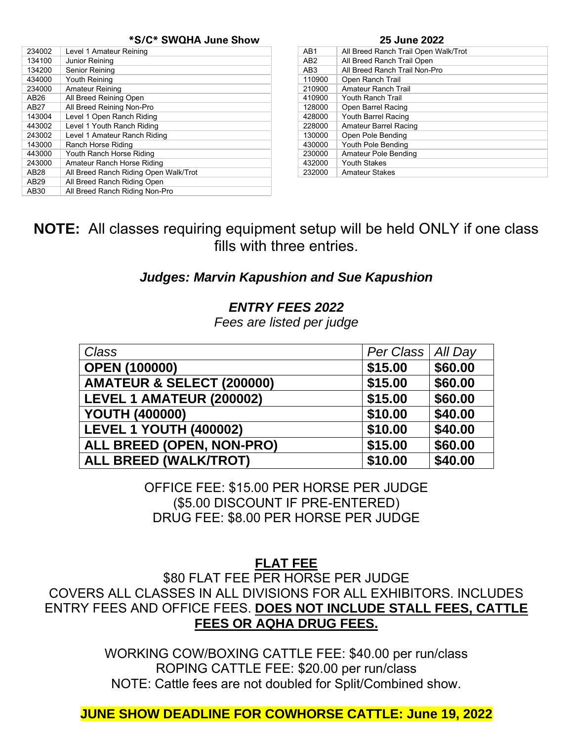#### **\*S/C\* SWQHA June Show 25 June 2022**

| 234002 | Level 1 Amateur Reining               |
|--------|---------------------------------------|
| 134100 | Junior Reining                        |
| 134200 | Senior Reining                        |
| 434000 | Youth Reining                         |
| 234000 | Amateur Reining                       |
| AB26   | All Breed Reining Open                |
| AB27   | All Breed Reining Non-Pro             |
| 143004 | Level 1 Open Ranch Riding             |
| 443002 | Level 1 Youth Ranch Riding            |
| 243002 | Level 1 Amateur Ranch Riding          |
| 143000 | Ranch Horse Riding                    |
| 443000 | Youth Ranch Horse Riding              |
| 243000 | Amateur Ranch Horse Riding            |
| AB28   | All Breed Ranch Riding Open Walk/Trot |
| AB29   | All Breed Ranch Riding Open           |
| AB30   | All Breed Ranch Riding Non-Pro        |

| <b>25 June 2022</b> |                                      |  |
|---------------------|--------------------------------------|--|
| AB <sub>1</sub>     | All Breed Ranch Trail Open Walk/Trot |  |
| AB <sub>2</sub>     | All Breed Ranch Trail Open           |  |
| AB <sub>3</sub>     | All Breed Ranch Trail Non-Pro        |  |
| 110900              | Open Ranch Trail                     |  |
| 210900              | Amateur Ranch Trail                  |  |
| 410900              | Youth Ranch Trail                    |  |
| 128000              | Open Barrel Racing                   |  |
| 428000              | Youth Barrel Racing                  |  |
| 228000              | <b>Amateur Barrel Racing</b>         |  |
| 130000              | Open Pole Bending                    |  |
| 430000              | Youth Pole Bending                   |  |
| 230000              | Amateur Pole Bending                 |  |
| 432000              | <b>Youth Stakes</b>                  |  |
| 232000              | <b>Amateur Stakes</b>                |  |

# **NOTE:** All classes requiring equipment setup will be held ONLY if one class fills with three entries.

#### *Judges: Marvin Kapushion and Sue Kapushion*

#### *ENTRY FEES 2022*

*Fees are listed per judge*

| Class                         | Per Class   All Day |         |
|-------------------------------|---------------------|---------|
| <b>OPEN (100000)</b>          | \$15.00             | \$60.00 |
| AMATEUR & SELECT (200000)     | \$15.00             | \$60.00 |
| LEVEL 1 AMATEUR (200002)      | \$15.00             | \$60.00 |
| <b>YOUTH (400000)</b>         | \$10.00             | \$40.00 |
| <b>LEVEL 1 YOUTH (400002)</b> | \$10.00             | \$40.00 |
| ALL BREED (OPEN, NON-PRO)     | \$15.00             | \$60.00 |
| <b>ALL BREED (WALK/TROT)</b>  | \$10.00             | \$40.00 |

OFFICE FEE: \$15.00 PER HORSE PER JUDGE (\$5.00 DISCOUNT IF PRE-ENTERED) DRUG FEE: \$8.00 PER HORSE PER JUDGE

# **FLAT FEE**

\$80 FLAT FEE PER HORSE PER JUDGE COVERS ALL CLASSES IN ALL DIVISIONS FOR ALL EXHIBITORS. INCLUDES ENTRY FEES AND OFFICE FEES. **DOES NOT INCLUDE STALL FEES, CATTLE FEES OR AQHA DRUG FEES.**

> WORKING COW/BOXING CATTLE FEE: \$40.00 per run/class ROPING CATTLE FEE: \$20.00 per run/class NOTE: Cattle fees are not doubled for Split/Combined show.

### **JUNE SHOW DEADLINE FOR COWHORSE CATTLE: June 19, 2022**